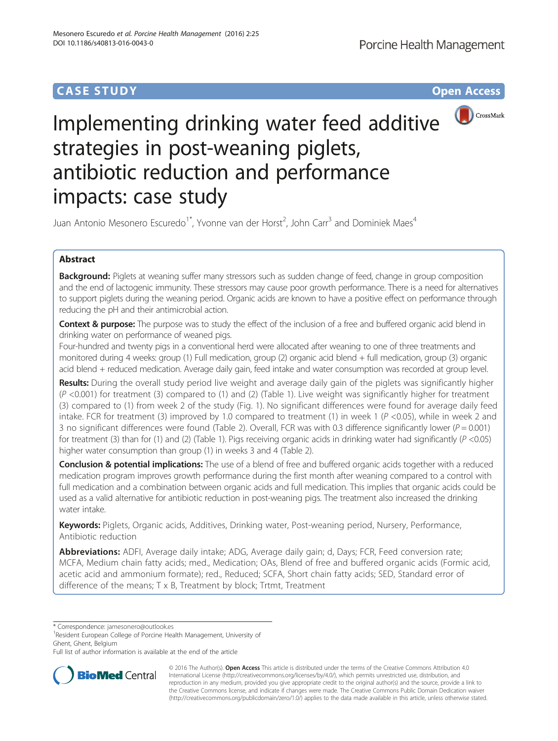# **CASE STUDY CASE STUDY Open Access**



# Implementing drinking water feed additive strategies in post-weaning piglets, antibiotic reduction and performance impacts: case study

Juan Antonio Mesonero Escuredo<sup>1\*</sup>, Yvonne van der Horst<sup>2</sup>, John Carr<sup>3</sup> and Dominiek Maes<sup>4</sup>

## Abstract

Background: Piglets at weaning suffer many stressors such as sudden change of feed, change in group composition and the end of lactogenic immunity. These stressors may cause poor growth performance. There is a need for alternatives to support piglets during the weaning period. Organic acids are known to have a positive effect on performance through reducing the pH and their antimicrobial action.

**Context & purpose:** The purpose was to study the effect of the inclusion of a free and buffered organic acid blend in drinking water on performance of weaned pigs.

Four-hundred and twenty pigs in a conventional herd were allocated after weaning to one of three treatments and monitored during 4 weeks: group (1) Full medication, group (2) organic acid blend + full medication, group (3) organic acid blend + reduced medication. Average daily gain, feed intake and water consumption was recorded at group level.

Results: During the overall study period live weight and average daily gain of the piglets was significantly higher (P <0.001) for treatment (3) compared to (1) and (2) (Table 1). Live weight was significantly higher for treatment (3) compared to (1) from week 2 of the study (Fig. 1). No significant differences were found for average daily feed intake. FCR for treatment (3) improved by 1.0 compared to treatment (1) in week 1 ( $P$  <0.05), while in week 2 and 3 no significant differences were found (Table 2). Overall, FCR was with 0.3 difference significantly lower ( $P = 0.001$ ) for treatment (3) than for (1) and (2) (Table 1). Pigs receiving organic acids in drinking water had significantly ( $P < 0.05$ ) higher water consumption than group (1) in weeks 3 and 4 (Table 2).

Conclusion & potential implications: The use of a blend of free and buffered organic acids together with a reduced medication program improves growth performance during the first month after weaning compared to a control with full medication and a combination between organic acids and full medication. This implies that organic acids could be used as a valid alternative for antibiotic reduction in post-weaning pigs. The treatment also increased the drinking water intake.

Keywords: Piglets, Organic acids, Additives, Drinking water, Post-weaning period, Nursery, Performance, Antibiotic reduction

Abbreviations: ADFI, Average daily intake; ADG, Average daily gain; d, Days; FCR, Feed conversion rate; MCFA, Medium chain fatty acids; med., Medication; OAs, Blend of free and buffered organic acids (Formic acid, acetic acid and ammonium formate); red., Reduced; SCFA, Short chain fatty acids; SED, Standard error of difference of the means; T x B, Treatment by block; Trtmt, Treatment

\* Correspondence: [jamesonero@outlook.es](mailto:jamesonero@outlook.es) <sup>1</sup>

<sup>1</sup>Resident European College of Porcine Health Management, University of Ghent, Ghent, Belgium

Full list of author information is available at the end of the article



© 2016 The Author(s). Open Access This article is distributed under the terms of the Creative Commons Attribution 4.0 International License [\(http://creativecommons.org/licenses/by/4.0/](http://creativecommons.org/licenses/by/4.0/)), which permits unrestricted use, distribution, and reproduction in any medium, provided you give appropriate credit to the original author(s) and the source, provide a link to the Creative Commons license, and indicate if changes were made. The Creative Commons Public Domain Dedication waiver [\(http://creativecommons.org/publicdomain/zero/1.0/](http://creativecommons.org/publicdomain/zero/1.0/)) applies to the data made available in this article, unless otherwise stated.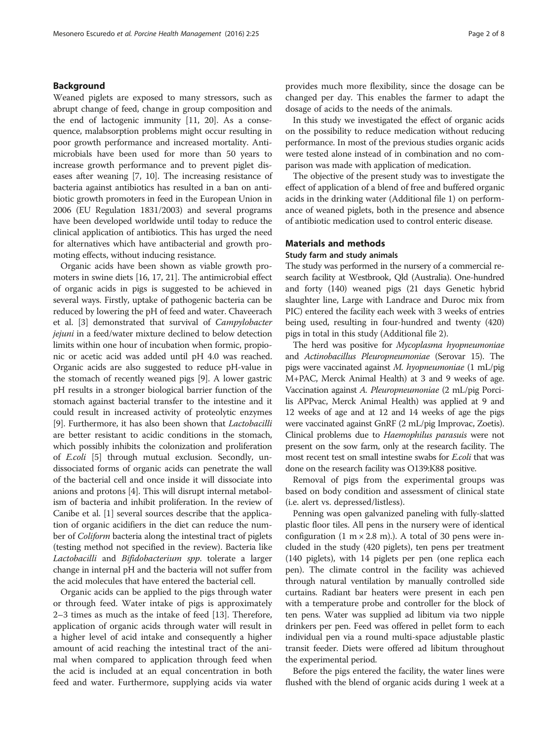## Background

Weaned piglets are exposed to many stressors, such as abrupt change of feed, change in group composition and the end of lactogenic immunity [\[11,](#page-6-0) [20\]](#page-7-0). As a consequence, malabsorption problems might occur resulting in poor growth performance and increased mortality. Antimicrobials have been used for more than 50 years to increase growth performance and to prevent piglet diseases after weaning [\[7](#page-6-0), [10\]](#page-6-0). The increasing resistance of bacteria against antibiotics has resulted in a ban on antibiotic growth promoters in feed in the European Union in 2006 (EU Regulation 1831/2003) and several programs have been developed worldwide until today to reduce the clinical application of antibiotics. This has urged the need for alternatives which have antibacterial and growth promoting effects, without inducing resistance.

Organic acids have been shown as viable growth promoters in swine diets [[16](#page-7-0), [17](#page-7-0), [21](#page-7-0)]. The antimicrobial effect of organic acids in pigs is suggested to be achieved in several ways. Firstly, uptake of pathogenic bacteria can be reduced by lowering the pH of feed and water. Chaveerach et al. [\[3](#page-6-0)] demonstrated that survival of Campylobacter jejuni in a feed/water mixture declined to below detection limits within one hour of incubation when formic, propionic or acetic acid was added until pH 4.0 was reached. Organic acids are also suggested to reduce pH-value in the stomach of recently weaned pigs [\[9](#page-6-0)]. A lower gastric pH results in a stronger biological barrier function of the stomach against bacterial transfer to the intestine and it could result in increased activity of proteolytic enzymes [[9\]](#page-6-0). Furthermore, it has also been shown that *Lactobacilli* are better resistant to acidic conditions in the stomach, which possibly inhibits the colonization and proliferation of E.coli [[5\]](#page-6-0) through mutual exclusion. Secondly, undissociated forms of organic acids can penetrate the wall of the bacterial cell and once inside it will dissociate into anions and protons [[4\]](#page-6-0). This will disrupt internal metabolism of bacteria and inhibit proliferation. In the review of Canibe et al. [[1](#page-6-0)] several sources describe that the application of organic acidifiers in the diet can reduce the number of Coliform bacteria along the intestinal tract of piglets (testing method not specified in the review). Bacteria like Lactobacilli and Bifidobacterium spp. tolerate a larger change in internal pH and the bacteria will not suffer from the acid molecules that have entered the bacterial cell.

Organic acids can be applied to the pigs through water or through feed. Water intake of pigs is approximately 2–3 times as much as the intake of feed [[13](#page-7-0)]. Therefore, application of organic acids through water will result in a higher level of acid intake and consequently a higher amount of acid reaching the intestinal tract of the animal when compared to application through feed when the acid is included at an equal concentration in both feed and water. Furthermore, supplying acids via water provides much more flexibility, since the dosage can be changed per day. This enables the farmer to adapt the dosage of acids to the needs of the animals.

In this study we investigated the effect of organic acids on the possibility to reduce medication without reducing performance. In most of the previous studies organic acids were tested alone instead of in combination and no comparison was made with application of medication.

The objective of the present study was to investigate the effect of application of a blend of free and buffered organic acids in the drinking water (Additional file [1](#page-6-0)) on performance of weaned piglets, both in the presence and absence of antibiotic medication used to control enteric disease.

## Materials and methods

## Study farm and study animals

The study was performed in the nursery of a commercial research facility at Westbrook, Qld (Australia). One-hundred and forty (140) weaned pigs (21 days Genetic hybrid slaughter line, Large with Landrace and Duroc mix from PIC) entered the facility each week with 3 weeks of entries being used, resulting in four-hundred and twenty (420) pigs in total in this study (Additional file [2](#page-6-0)).

The herd was positive for Mycoplasma hyopneumoniae and Actinobacillus Pleuropneumoniae (Serovar 15). The pigs were vaccinated against M. hyopneumoniae (1 mL/pig M+PAC, Merck Animal Health) at 3 and 9 weeks of age. Vaccination against A. Pleuropneumoniae (2 mL/pig Porcilis APPvac, Merck Animal Health) was applied at 9 and 12 weeks of age and at 12 and 14 weeks of age the pigs were vaccinated against GnRF (2 mL/pig Improvac, Zoetis). Clinical problems due to Haemophilus parasuis were not present on the sow farm, only at the research facility. The most recent test on small intestine swabs for E.coli that was done on the research facility was O139:K88 positive.

Removal of pigs from the experimental groups was based on body condition and assessment of clinical state (i.e. alert vs. depressed/listless).

Penning was open galvanized paneling with fully-slatted plastic floor tiles. All pens in the nursery were of identical configuration  $(1 \text{ m} \times 2.8 \text{ m})$ . A total of 30 pens were included in the study (420 piglets), ten pens per treatment (140 piglets), with 14 piglets per pen (one replica each pen). The climate control in the facility was achieved through natural ventilation by manually controlled side curtains. Radiant bar heaters were present in each pen with a temperature probe and controller for the block of ten pens. Water was supplied ad libitum via two nipple drinkers per pen. Feed was offered in pellet form to each individual pen via a round multi-space adjustable plastic transit feeder. Diets were offered ad libitum throughout the experimental period.

Before the pigs entered the facility, the water lines were flushed with the blend of organic acids during 1 week at a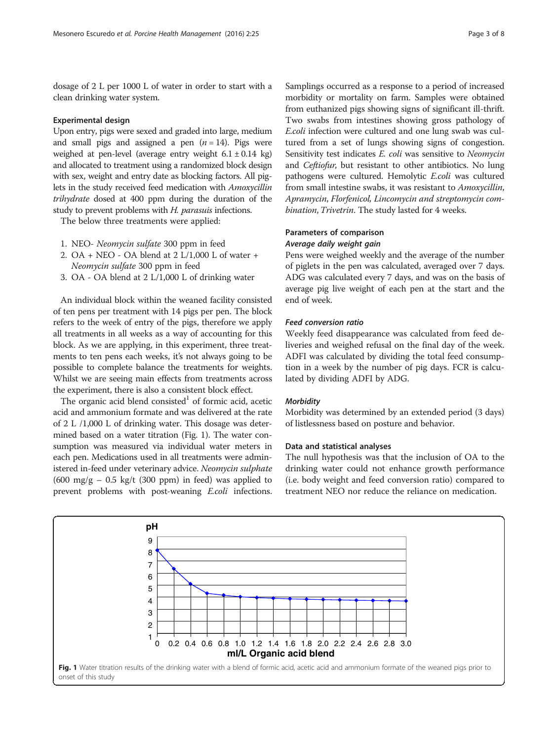dosage of 2 L per 1000 L of water in order to start with a clean drinking water system.

#### Experimental design

Upon entry, pigs were sexed and graded into large, medium and small pigs and assigned a pen  $(n = 14)$ . Pigs were weighed at pen-level (average entry weight  $6.1 \pm 0.14$  kg) and allocated to treatment using a randomized block design with sex, weight and entry date as blocking factors. All piglets in the study received feed medication with Amoxycillin trihydrate dosed at 400 ppm during the duration of the study to prevent problems with H. parasuis infections.

The below three treatments were applied:

- 1. NEO- Neomycin sulfate 300 ppm in feed
- 2. OA + NEO OA blend at 2 L/1,000 L of water + Neomycin sulfate 300 ppm in feed
- 3. OA OA blend at 2 L/1,000 L of drinking water

An individual block within the weaned facility consisted of ten pens per treatment with 14 pigs per pen. The block refers to the week of entry of the pigs, therefore we apply all treatments in all weeks as a way of accounting for this block. As we are applying, in this experiment, three treatments to ten pens each weeks, it's not always going to be possible to complete balance the treatments for weights. Whilst we are seeing main effects from treatments across the experiment, there is also a consistent block effect.

The organic acid blend consisted<sup>1</sup> of formic acid, acetic acid and ammonium formate and was delivered at the rate of 2 L /1,000 L of drinking water. This dosage was determined based on a water titration (Fig. 1). The water consumption was measured via individual water meters in each pen. Medications used in all treatments were administered in-feed under veterinary advice. Neomycin sulphate (600 mg/g – 0.5 kg/t (300 ppm) in feed) was applied to prevent problems with post-weaning E.coli infections.

Samplings occurred as a response to a period of increased morbidity or mortality on farm. Samples were obtained from euthanized pigs showing signs of significant ill-thrift. Two swabs from intestines showing gross pathology of E.coli infection were cultured and one lung swab was cultured from a set of lungs showing signs of congestion. Sensitivity test indicates E. coli was sensitive to Neomycin and Ceftiofur, but resistant to other antibiotics. No lung pathogens were cultured. Hemolytic E.coli was cultured from small intestine swabs, it was resistant to Amoxycillin, Apramycin, Florfenicol, Lincomycin and streptomycin combination, Trivetrin. The study lasted for 4 weeks.

# Parameters of comparison

## Average daily weight gain

Pens were weighed weekly and the average of the number of piglets in the pen was calculated, averaged over 7 days. ADG was calculated every 7 days, and was on the basis of average pig live weight of each pen at the start and the end of week.

## Feed conversion ratio

Weekly feed disappearance was calculated from feed deliveries and weighed refusal on the final day of the week. ADFI was calculated by dividing the total feed consumption in a week by the number of pig days. FCR is calculated by dividing ADFI by ADG.

#### **Morbidity**

Morbidity was determined by an extended period (3 days) of listlessness based on posture and behavior.

#### Data and statistical analyses

The null hypothesis was that the inclusion of OA to the drinking water could not enhance growth performance (i.e. body weight and feed conversion ratio) compared to treatment NEO nor reduce the reliance on medication.

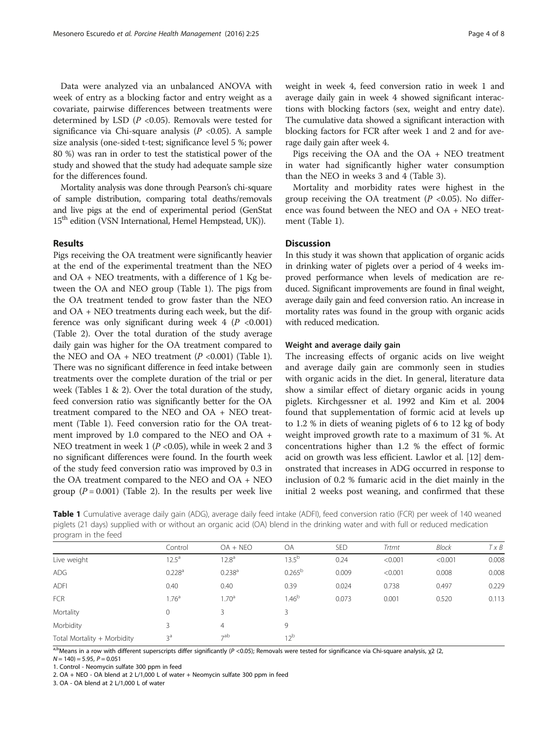Data were analyzed via an unbalanced ANOVA with week of entry as a blocking factor and entry weight as a covariate, pairwise differences between treatments were determined by LSD  $(P \le 0.05)$ . Removals were tested for significance via Chi-square analysis  $(P \le 0.05)$ . A sample size analysis (one-sided t-test; significance level 5 %; power 80 %) was ran in order to test the statistical power of the study and showed that the study had adequate sample size for the differences found.

Mortality analysis was done through Pearson's chi-square of sample distribution, comparing total deaths/removals and live pigs at the end of experimental period (GenStat 15<sup>th</sup> edition (VSN International, Hemel Hempstead, UK)).

#### Results

Pigs receiving the OA treatment were significantly heavier at the end of the experimental treatment than the NEO and  $OA + NEO$  treatments, with a difference of 1 Kg between the OA and NEO group (Table 1). The pigs from the OA treatment tended to grow faster than the NEO and OA + NEO treatments during each week, but the difference was only significant during week  $4 (P < 0.001)$ (Table [2](#page-4-0)). Over the total duration of the study average daily gain was higher for the OA treatment compared to the NEO and OA + NEO treatment  $(P < 0.001)$  (Table 1). There was no significant difference in feed intake between treatments over the complete duration of the trial or per week (Tables 1 & [2\)](#page-4-0). Over the total duration of the study, feed conversion ratio was significantly better for the OA treatment compared to the NEO and OA + NEO treatment (Table 1). Feed conversion ratio for the OA treatment improved by 1.0 compared to the NEO and OA + NEO treatment in week 1 ( $P$  <0.05), while in week 2 and 3 no significant differences were found. In the fourth week of the study feed conversion ratio was improved by 0.3 in the OA treatment compared to the NEO and OA + NEO group ( $P = 0.001$ ) (Table [2](#page-4-0)). In the results per week live weight in week 4, feed conversion ratio in week 1 and average daily gain in week 4 showed significant interactions with blocking factors (sex, weight and entry date). The cumulative data showed a significant interaction with blocking factors for FCR after week 1 and 2 and for average daily gain after week 4.

Pigs receiving the OA and the OA + NEO treatment in water had significantly higher water consumption than the NEO in weeks 3 and 4 (Table [3\)](#page-4-0).

Mortality and morbidity rates were highest in the group receiving the OA treatment ( $P$  <0.05). No difference was found between the NEO and OA + NEO treatment (Table 1).

## Discussion

In this study it was shown that application of organic acids in drinking water of piglets over a period of 4 weeks improved performance when levels of medication are reduced. Significant improvements are found in final weight, average daily gain and feed conversion ratio. An increase in mortality rates was found in the group with organic acids with reduced medication.

#### Weight and average daily gain

The increasing effects of organic acids on live weight and average daily gain are commonly seen in studies with organic acids in the diet. In general, literature data show a similar effect of dietary organic acids in young piglets. Kirchgessner et al. 1992 and Kim et al. 2004 found that supplementation of formic acid at levels up to 1.2 % in diets of weaning piglets of 6 to 12 kg of body weight improved growth rate to a maximum of 31 %. At concentrations higher than 1.2 % the effect of formic acid on growth was less efficient. Lawlor et al. [\[12\]](#page-6-0) demonstrated that increases in ADG occurred in response to inclusion of 0.2 % fumaric acid in the diet mainly in the initial 2 weeks post weaning, and confirmed that these

Table 1 Cumulative average daily gain (ADG), average daily feed intake (ADFI), feed conversion ratio (FCR) per week of 140 weaned piglets (21 days) supplied with or without an organic acid (OA) blend in the drinking water and with full or reduced medication program in the feed

|                             | Control            | $OA + NEO$         | OA                | <b>SED</b> | Trtmt   | <b>Block</b> | TxB   |
|-----------------------------|--------------------|--------------------|-------------------|------------|---------|--------------|-------|
| Live weight                 | $12.5^{\circ}$     | 12.8 <sup>a</sup>  | $13.5^{b}$        | 0.24       | < 0.001 | < 0.001      | 0.008 |
| ADG                         | 0.228 <sup>a</sup> | 0.238 <sup>a</sup> | $0.265^{\rm b}$   | 0.009      | < 0.001 | 0.008        | 0.008 |
| <b>ADFI</b>                 | 0.40               | 0.40               | 0.39              | 0.024      | 0.738   | 0.497        | 0.229 |
| <b>FCR</b>                  | $1.76^{\circ}$     | 1.70 <sup>a</sup>  | 1.46 <sup>b</sup> | 0.073      | 0.001   | 0.520        | 0.113 |
| Mortality                   | 0                  | 3                  | 3                 |            |         |              |       |
| Morbidity                   |                    | 4                  | 9                 |            |         |              |       |
| Total Mortality + Morbidity | ιSσ                | 7 <sub>ab</sub>    | 12 <sup>b</sup>   |            |         |              |       |

a,b<sub>Means</sub> in a row with different superscripts differ significantly (P <0.05); Removals were tested for significance via Chi-square analysis, χ2 (2,  $N = 140$ ) = 5.95,  $P = 0.051$ 

1. Control - Neomycin sulfate 300 ppm in feed

2. OA + NEO - OA blend at 2 L/1,000 L of water + Neomycin sulfate 300 ppm in feed

3. OA - OA blend at 2 L/1,000 L of water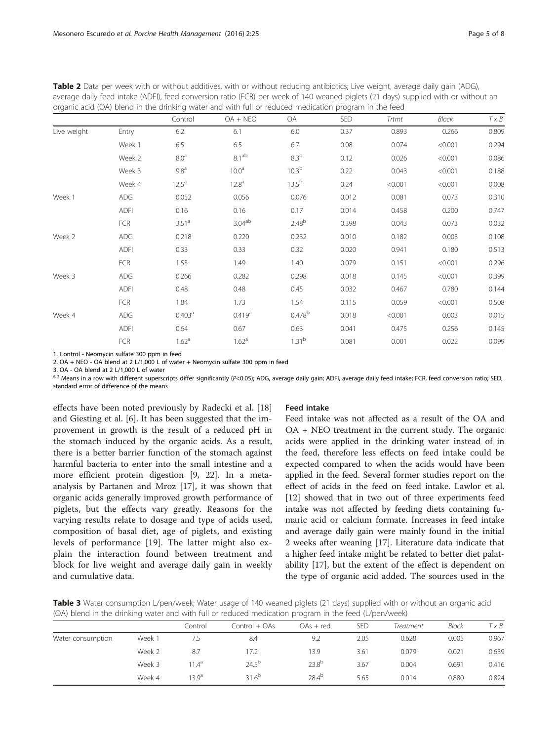<span id="page-4-0"></span>

| Table 2 Data per week with or without additives, with or without reducing antibiotics; Live weight, average daily gain (ADG),      |
|------------------------------------------------------------------------------------------------------------------------------------|
| average daily feed intake (ADFI), feed conversion ratio (FCR) per week of 140 weaned piglets (21 days) supplied with or without an |
| organic acid (OA) blend in the drinking water and with full or reduced medication program in the feed                              |

|             |             | Control            | $OA + NEO$         | OA                 | <b>SED</b> | Trtmt   | Block   | TxB   |
|-------------|-------------|--------------------|--------------------|--------------------|------------|---------|---------|-------|
| Live weight | Entry       | 6.2                | 6.1                | 6.0                | 0.37       | 0.893   | 0.266   | 0.809 |
|             | Week 1      | 6.5                | 6.5                | 6.7                | 0.08       | 0.074   | < 0.001 | 0.294 |
|             | Week 2      | 8.0 <sup>a</sup>   | 8.1 <sup>ab</sup>  | 8.3 <sup>b</sup>   | 0.12       | 0.026   | < 0.001 | 0.086 |
|             | Week 3      | 9.8 <sup>a</sup>   | 10.0 <sup>a</sup>  | 10.3 <sup>b</sup>  | 0.22       | 0.043   | < 0.001 | 0.188 |
|             | Week 4      | $12.5^{\circ}$     | $12.8^{\circ}$     | $13.5^{b}$         | 0.24       | < 0.001 | < 0.001 | 0.008 |
| Week 1      | ADG         | 0.052              | 0.056              | 0.076              | 0.012      | 0.081   | 0.073   | 0.310 |
|             | <b>ADFI</b> | 0.16               | 0.16               | 0.17               | 0.014      | 0.458   | 0.200   | 0.747 |
|             | FCR         | 3.51 <sup>a</sup>  | 3.04 <sup>ab</sup> | $2.48^{b}$         | 0.398      | 0.043   | 0.073   | 0.032 |
| Week 2      | ADG         | 0.218              | 0.220              | 0.232              | 0.010      | 0.182   | 0.003   | 0.108 |
|             | <b>ADFI</b> | 0.33               | 0.33               | 0.32               | 0.020      | 0.941   | 0.180   | 0.513 |
|             | FCR         | 1.53               | 1.49               | 1.40               | 0.079      | 0.151   | < 0.001 | 0.296 |
| Week 3      | ADG         | 0.266              | 0.282              | 0.298              | 0.018      | 0.145   | < 0.001 | 0.399 |
|             | <b>ADFI</b> | 0.48               | 0.48               | 0.45               | 0.032      | 0.467   | 0.780   | 0.144 |
|             | FCR         | 1.84               | 1.73               | 1.54               | 0.115      | 0.059   | < 0.001 | 0.508 |
| Week 4      | ADG         | 0.403 <sup>a</sup> | 0.419 <sup>a</sup> | 0.478 <sup>b</sup> | 0.018      | < 0.001 | 0.003   | 0.015 |
|             | <b>ADFI</b> | 0.64               | 0.67               | 0.63               | 0.041      | 0.475   | 0.256   | 0.145 |
|             | <b>FCR</b>  | 1.62 <sup>a</sup>  | 1.62 <sup>a</sup>  | $1.31^{b}$         | 0.081      | 0.001   | 0.022   | 0.099 |
|             |             |                    |                    |                    |            |         |         |       |

1. Control - Neomycin sulfate 300 ppm in feed

2. OA + NEO - OA blend at 2 L/1,000 L of water + Neomycin sulfate 300 ppm in feed

3. OA - OA blend at 2 L/1,000 L of water

a,b Means in a row with different superscripts differ significantly (P<0.05); ADG, average daily gain; ADFI, average daily feed intake; FCR, feed conversion ratio; SED, standard error of difference of the means

effects have been noted previously by Radecki et al. [[18](#page-7-0)] and Giesting et al. [\[6](#page-6-0)]. It has been suggested that the improvement in growth is the result of a reduced pH in the stomach induced by the organic acids. As a result, there is a better barrier function of the stomach against harmful bacteria to enter into the small intestine and a more efficient protein digestion [[9,](#page-6-0) [22](#page-7-0)]. In a metaanalysis by Partanen and Mroz [\[17](#page-7-0)], it was shown that organic acids generally improved growth performance of piglets, but the effects vary greatly. Reasons for the varying results relate to dosage and type of acids used, composition of basal diet, age of piglets, and existing levels of performance [\[19](#page-7-0)]. The latter might also explain the interaction found between treatment and block for live weight and average daily gain in weekly and cumulative data.

#### Feed intake

Feed intake was not affected as a result of the OA and OA + NEO treatment in the current study. The organic acids were applied in the drinking water instead of in the feed, therefore less effects on feed intake could be expected compared to when the acids would have been applied in the feed. Several former studies report on the effect of acids in the feed on feed intake. Lawlor et al. [[12\]](#page-6-0) showed that in two out of three experiments feed intake was not affected by feeding diets containing fumaric acid or calcium formate. Increases in feed intake and average daily gain were mainly found in the initial 2 weeks after weaning [[17](#page-7-0)]. Literature data indicate that a higher feed intake might be related to better diet palatability [\[17](#page-7-0)], but the extent of the effect is dependent on the type of organic acid added. The sources used in the

Table 3 Water consumption L/pen/week; Water usage of 140 weaned piglets (21 days) supplied with or without an organic acid (OA) blend in the drinking water and with full or reduced medication program in the feed (L/pen/week)

|                   |        | Control        | Control + OAs | $OAs + red$ . | SED  | Treatment | Block | Г x B |  |
|-------------------|--------|----------------|---------------|---------------|------|-----------|-------|-------|--|
| Water consumption | Week 1 |                | 8.4           | 9.2           | 2.05 | 0.628     | 0.005 | 0.967 |  |
|                   | Week 2 | 8.7            | 17.2          | 3.9           | 3.61 | 0.079     | 0.021 | 0.639 |  |
|                   | Week 3 | $11.4^{\circ}$ | $24.5^{b}$    | $23.8^{b}$    | 3.67 | 0.004     | 0.691 | 0.416 |  |
|                   | Week 4 | 13.9ª          | $31.6^{b}$    | $28.4^{b}$    | 5.65 | 0.014     | 0.880 | 0.824 |  |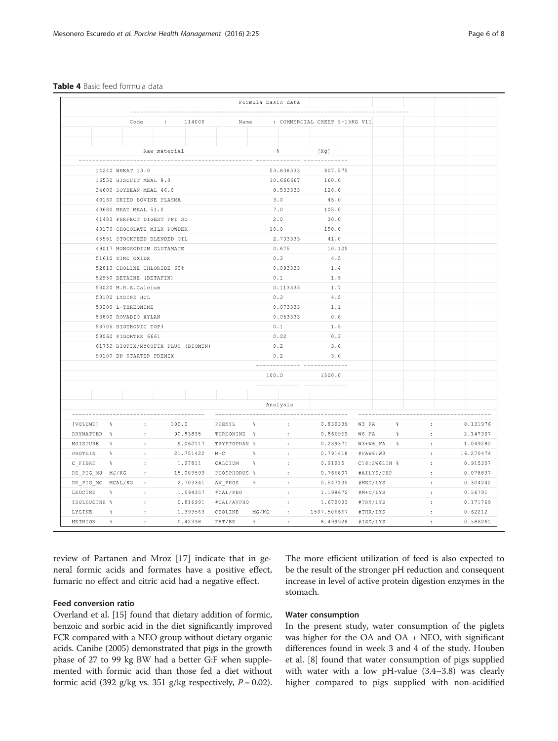## Table 4 Basic feed formula data

|                                                 |                                    |                  |           |                                   | Formula basic data              |                       |                               |                     |                              |                      |  |           |
|-------------------------------------------------|------------------------------------|------------------|-----------|-----------------------------------|---------------------------------|-----------------------|-------------------------------|---------------------|------------------------------|----------------------|--|-----------|
|                                                 |                                    |                  |           | -------------------------------   |                                 |                       |                               |                     |                              |                      |  |           |
|                                                 | Code                               | $\cdot$ $114000$ |           | Name: COMMERCIAL CREEP 5-15KG V11 |                                 |                       |                               |                     |                              |                      |  |           |
|                                                 |                                    |                  |           |                                   |                                 |                       |                               |                     |                              |                      |  |           |
|                                                 |                                    |                  |           |                                   |                                 |                       |                               |                     |                              |                      |  |           |
|                                                 |                                    | Raw material     |           |                                   | $\%$                            |                       | [Kq]                          |                     |                              |                      |  |           |
|                                                 |                                    |                  |           |                                   |                                 |                       |                               |                     |                              |                      |  |           |
|                                                 | 14240 WHEAT 13.0                   |                  |           |                                   |                                 | 53.838333             | 807.575                       |                     |                              |                      |  |           |
|                                                 | 16550 BISCUIT MEAL 8.0             |                  |           |                                   |                                 | 10.666667             | 160.0                         |                     |                              |                      |  |           |
|                                                 | 34600 SOYBEAN MEAL 46.0            |                  |           |                                   |                                 | 8.533333              | 128.0                         |                     |                              |                      |  |           |
|                                                 | 40160 DRIED BOVINE PLASMA          |                  |           |                                   | 3.0                             |                       | 45.0                          |                     |                              |                      |  |           |
|                                                 | 40680 MEAT MEAL 51.0               |                  |           |                                   |                                 | 7.0                   | 105.0                         |                     |                              |                      |  |           |
|                                                 | 41483 PERFECT DIGEST FPI SD        |                  |           |                                   |                                 | 2.0                   | 30.0                          |                     |                              |                      |  |           |
|                                                 | 43170 CHOCOLATE MILK POWDER        |                  |           |                                   | 10.0                            |                       | 150.0                         |                     |                              |                      |  |           |
|                                                 | 45581 STOCKFEED BLENDED OIL        |                  |           |                                   |                                 | 2.733333              | 41.0                          |                     |                              |                      |  |           |
|                                                 | 49017 MONOSODIUM GLUTAMATE         |                  |           |                                   |                                 | 0.675                 | 10.125                        |                     |                              |                      |  |           |
|                                                 | 51610 ZINC OXIDE                   |                  |           |                                   |                                 | 0.3                   | 4.5                           |                     |                              |                      |  |           |
|                                                 | 52810 CHOLINE CHLORIDE 60%         |                  |           |                                   |                                 | 0.093333              | 1.4                           |                     |                              |                      |  |           |
|                                                 | 52950 BETAINE (BETAFIN)            |                  |           |                                   | 0.1                             |                       | 1.5                           |                     |                              |                      |  |           |
|                                                 | 53020 M.H.A.Calcium                |                  |           |                                   |                                 | 0.113333              | 1.7                           |                     |                              |                      |  |           |
|                                                 | 53100 LYSINE HCL                   |                  |           |                                   |                                 | 0.3                   | 4.5                           |                     |                              |                      |  |           |
|                                                 | 53200 L-THREONINE                  |                  |           |                                   |                                 | 0.073333              | 1.1                           |                     |                              |                      |  |           |
|                                                 | 53800 ROVABIO XYLAN                |                  |           |                                   |                                 | 0.053333              | 0.8                           |                     |                              |                      |  |           |
|                                                 | 58705 BIOTRONIC TOP3               |                  |           |                                   | 0.1                             |                       | 1.5                           |                     |                              |                      |  |           |
|                                                 | 59060 PIGORTEK 6661                |                  |           |                                   |                                 | 0.02                  | 0.3                           |                     |                              |                      |  |           |
|                                                 | 61750 BIOFIX/MYCOFIX PLUS (BIOMIN) |                  |           |                                   |                                 | 0.2                   | 3.0                           |                     |                              |                      |  |           |
|                                                 | 90100 BN STARTER PREMIX            |                  |           |                                   | 0.2                             |                       | 3.0                           |                     |                              |                      |  |           |
|                                                 |                                    |                  |           |                                   |                                 |                       | ----------------------------- |                     |                              |                      |  |           |
|                                                 |                                    |                  |           |                                   |                                 | 100.0                 | 1500.0                        |                     |                              |                      |  |           |
|                                                 |                                    |                  |           |                                   |                                 |                       | -------------- -------------  |                     |                              |                      |  |           |
|                                                 |                                    |                  |           |                                   |                                 |                       |                               |                     |                              |                      |  |           |
|                                                 |                                    |                  |           |                                   |                                 | Analysis              |                               |                     |                              |                      |  |           |
|                                                 |                                    |                  |           |                                   |                                 |                       |                               |                     |                              |                      |  |           |
| [VOLUME] %                                      | $\sim 100$                         |                  | 100.0     | PHENYL                            | $\frac{p}{20}$                  | $\sim$ 100 $\sim$     |                               | 0.839339 W3 FA      | $\qquad \qquad \circledcirc$ | $\sim 10$            |  | 0.131976  |
| DRYMATTER %                                     | $\mathcal{L}$                      |                  | 90.83835  | THREONINE %                       |                                 | $\mathcal{L}$         | 0.866963                      | W6_FA               | $\frac{1}{3}$                | $\pm$                |  | 2.147307  |
| MOISTURE<br>- 8                                 | $\sim$                             |                  | 9.060117  | TRYPTOPHAN %                      |                                 | $\sim$                | 0.239371                      |                     | $W3+W6$ FA $\&$              | $\mathcal{L}$ .      |  | 1.049282  |
| $-8$<br>PROTEIN                                 | $\sim$                             |                  | 21.751422 | $M+C$                             | $\frac{\partial}{\partial \nu}$ | $\sim$                | 0.791418                      |                     | #FAW6:W3                     | $\mathbf{r}$         |  | 16.270474 |
| C FIBRE<br>$\frac{1}{2}$                        | $\pm$ .                            |                  | 1.97811   | CALCIUM                           | $\frac{\partial}{\partial \nu}$ | $\sim$                | 0.91915                       |                     | C18:2W6LIN %                 | $\div$               |  | 0.915307  |
| DE_PIG_MJ MJ/KG                                 | $\pm$                              |                  | 15.003593 | PHOSPHORUS %                      |                                 | $\sim$                | 0.766807                      |                     | #AILYS/DEP                   | $\ddot{\phantom{a}}$ |  | 0.078837  |
| DE_PIG_MC MCAL/KG                               | $\sim 10$                          |                  | 2.703341  | AV PHOS                           | $-8$                            | $\sim$                | 0.547135                      |                     | #MET/LYS                     | $\ddot{\phantom{a}}$ |  | 0.304242  |
| <b>LEUCINE</b><br>$\frac{\partial}{\partial t}$ | $\mathcal{I}^{\pm}$                |                  | 1.594357  | #CAL/PHO                          |                                 | $\sim$                |                               | 1.198672 #M+C/LYS   |                              | $\cdot$              |  | 0.56791   |
| ISOLEUCINE %                                    | $\mathcal{L}$                      |                  | 0.816991  | #CAL/AVPHO                        |                                 | $\sim$                |                               | $1.679933$ #TRY/LYS |                              | $\ddot{\phantom{a}}$ |  | 0.171769  |
| $\mathbb{S}$<br>LYSINE                          | $\mathcal{L}^{\pm}$                |                  | 1.393563  | CHOLINE                           | MG/KG                           | $\mathcal{L}$         | 1507.506667                   |                     | #THR/LYS                     | $\ddot{\phantom{a}}$ |  | 0.62212   |
| $^{\circ}$<br>METHION                           | $\sim$                             |                  | 0.42398   | FAT/EE                            | $\%$                            | $\mathbb{Z}^{\times}$ | 8.499928                      |                     | #ISO/LYS                     | $\ddot{\phantom{a}}$ |  | 0.586261  |

review of Partanen and Mroz [[17](#page-7-0)] indicate that in general formic acids and formates have a positive effect, fumaric no effect and citric acid had a negative effect.

## Feed conversion ratio

Overland et al. [[15](#page-7-0)] found that dietary addition of formic, benzoic and sorbic acid in the diet significantly improved FCR compared with a NEO group without dietary organic acids. Canibe (2005) demonstrated that pigs in the growth phase of 27 to 99 kg BW had a better G:F when supplemented with formic acid than those fed a diet without formic acid (392 g/kg vs. 351 g/kg respectively,  $P = 0.02$ ). The more efficient utilization of feed is also expected to be the result of the stronger pH reduction and consequent increase in level of active protein digestion enzymes in the stomach.

## Water consumption

In the present study, water consumption of the piglets was higher for the OA and OA + NEO, with significant differences found in week 3 and 4 of the study. Houben et al. [[8](#page-6-0)] found that water consumption of pigs supplied with water with a low pH-value (3.4–3.8) was clearly higher compared to pigs supplied with non-acidified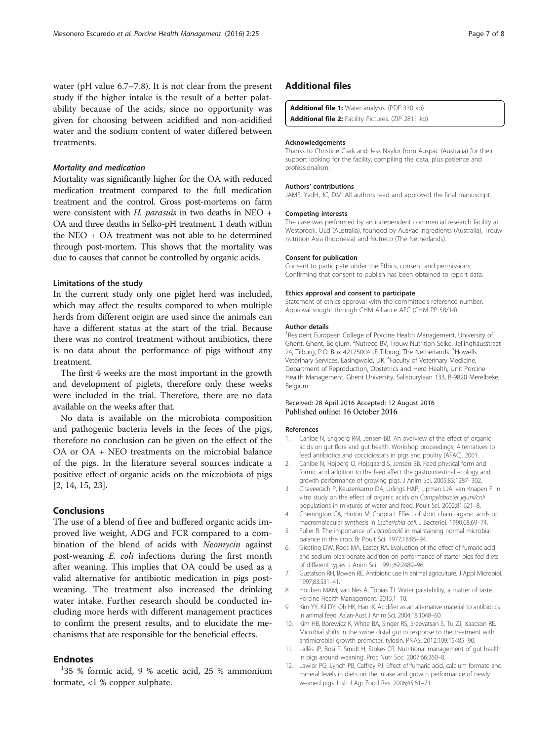<span id="page-6-0"></span>water (pH value 6.7–7.8). It is not clear from the present study if the higher intake is the result of a better palatability because of the acids, since no opportunity was given for choosing between acidified and non-acidified water and the sodium content of water differed between treatments.

## Mortality and medication

Mortality was significantly higher for the OA with reduced medication treatment compared to the full medication treatment and the control. Gross post-mortems on farm were consistent with H. parasuis in two deaths in NEO + OA and three deaths in Selko-pH treatment. 1 death within the NEO + OA treatment was not able to be determined through post-mortem. This shows that the mortality was due to causes that cannot be controlled by organic acids.

#### Limitations of the study

In the current study only one piglet herd was included, which may affect the results compared to when multiple herds from different origin are used since the animals can have a different status at the start of the trial. Because there was no control treatment without antibiotics, there is no data about the performance of pigs without any treatment.

The first 4 weeks are the most important in the growth and development of piglets, therefore only these weeks were included in the trial. Therefore, there are no data available on the weeks after that.

No data is available on the microbiota composition and pathogenic bacteria levels in the feces of the pigs, therefore no conclusion can be given on the effect of the OA or OA + NEO treatments on the microbial balance of the pigs. In the literature several sources indicate a positive effect of organic acids on the microbiota of pigs [2, [14, 15, 23](#page-7-0)].

#### Conclusions

The use of a blend of free and buffered organic acids improved live weight, ADG and FCR compared to a combination of the blend of acids with Neomycin against post-weaning E. coli infections during the first month after weaning. This implies that OA could be used as a valid alternative for antibiotic medication in pigs postweaning. The treatment also increased the drinking water intake. Further research should be conducted including more herds with different management practices to confirm the present results, and to elucidate the mechanisms that are responsible for the beneficial effects.

## **Endnotes**

 $135%$  formic acid, 9 % acetic acid, 25 % ammonium formate, <1 % copper sulphate.

## Additional files

[Additional file 1:](dx.doi.org/10.1186/s40813-016-0043-0) Water analysis. (PDF 330 kb) [Additional file 2:](dx.doi.org/10.1186/s40813-016-0043-0) Facility Pictures. (ZIP 2811 kb)

#### Acknowledgements

Thanks to Christine Clark and Jess Naylor from Auspac (Australia) for their support looking for the facility, compiling the data, plus patience and professionalism.

#### Authors' contributions

JAME, YvdH, JC, DM. All authors read and approved the final manuscript.

#### Competing interests

The case was performed by an independent commercial research facility at Westbrook, QLd (Australia), founded by AusPac Ingredients (Australia), Trouw nutrition Asia (Indonesia) and Nutreco (The Netherlands).

#### Consent for publication

Consent to participate under the Ethics, consent and permissions. Confirming that consent to publish has been obtained to report data.

#### Ethics approval and consent to participate

Statement of ethics approval with the committee's reference number: Approval sought through CHM Alliance AEC (CHM PP 58/14).

#### Author details

<sup>1</sup> Resident European College of Porcine Health Management, University of Ghent, Ghent, Belgium. <sup>2</sup>Nutreco BV, Trouw Nutrition Selko, Jellinghausstraat 24, Tilburg, P.O. Box 42175004 JE Tilburg, The Netherlands. <sup>3</sup>Howells Veterinary Services, Easingwold, UK. <sup>4</sup> Faculty of Veterinary Medicine, Department of Reproduction, Obstetrics and Herd Health, Unit Porcine Health Management, Ghent University, Salisburylaan 133, B-9820 Merelbeke, Belgium.

#### Received: 28 April 2016 Accepted: 12 August 2016 Published online: 16 October 2016

#### References

- 1. Canibe N, Engberg RM, Jensen BB. An overview of the effect of organic acids on gut flora and gut health. Workshop proceedings; Alternatives to feed antibiotics and coccidiostats in pigs and poultry (AFAC). 2001.
- 2. Canibe N, Hojberg O, Hojsgaard S, Jensen BB. Feed physical form and formic acid addition to the feed affect the gastrointestinal ecology and growth performance of growing pigs. J Anim Sci. 2005;83:1287–302.
- 3. Chaveerach P, Keuzenkamp DA, Urlings HAP, Lipman LJA, van Knapen F. In vitro study on the effect of organic acids on Campylobacter jejuni/coli populations in mixtures of water and feed. Poult Sci. 2002;81:621–8.
- 4. Cherrington CA, Hinton M, Chopra I. Effect of short chain organic acids on macromolecular synthesis in Escherichia coli. J Bacteriol. 1990;68:69–74.
- 5. Fuller R. The importance of Lactobacilli in maintaining normal microbial balance in the crop. Br Poult Sci. 1977;18:85–94.
- 6. Giesting DW, Roos MA, Easter RA. Evaluation of the effect of fumaric acid and sodium bicarbonate addition on performance of starter pigs fed diets of different types. J Anim Sci. 1991;69:2489–96.
- 7. Gustafson RH, Bowen RE. Antibiotic use in animal agriculture. J Appl Microbiol. 1997;83:531–41.
- 8. Houben MAM, van Nes A, Tobias TJ. Water palatability, a matter of taste. Porcine Health Management. 2015;1–10.
- 9. Kim YY, Kil DY, Oh HK, Han IK. Acidifier as an alternative material to antibiotics in animal feed. Asian-Aust J Anim Sci. 2004;18:1048–60.
- 10. Kim HB, Borewicz K, White BA, Singer RS, Sreevatsan S, Tu ZJ, Isaacson RE. Microbial shifts in the swine distal gut in response to the treatment with antimicrobial growth promoter, tylosin. PNAS. 2012;109:15485–90.
- 11. Lallès JP, Bosi P, Smidt H, Stokes CR. Nutritional management of gut health in pigs around weaning. Proc Nutr Soc. 2007;66:260–8.
- 12. Lawlor PG, Lynch PB, Caffrey PJ. Effect of fumaric acid, calcium formate and mineral levels in diets on the intake and growth performance of newly weaned pigs. Irish J Agr Food Res. 2006;45:61–71.